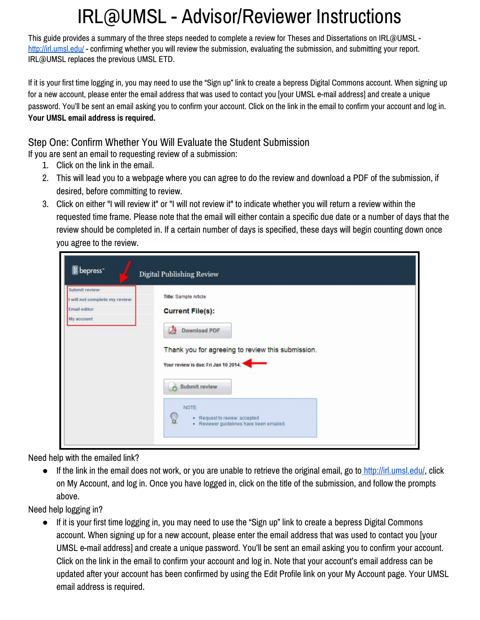# IRL@UMSL - Advisor/Reviewer Instructions

This guide provides a summary of the three steps needed to complete a review for Theses and Dissertations on IRL@UMSL <http://irl.umsl.edu/> - confirming whether you will review the submission, evaluating the submission, and submitting your report. IRL@UMSL replaces the previous UMSL ETD.

If it is your first time logging in, you may need to use the "Sign up" link to create a bepress Digital Commons account. When signing up for a new account, please enter the email address that was used to contact you [your UMSL e-mail address] and create a unique password. You'll be sent an email asking you to confirm your account. Click on the link in the email to confirm your account and log in. **Your UMSL email address is required.**

### Step One: Confirm Whether You Will Evaluate the Student Submission

If you are sent an email to requesting review of a submission:

- 1. Click on the link in the email.
- 2. This will lead you to a webpage where you can agree to do the review and download a PDF of the submission, if desired, before committing to review.
- 3. Click on either "I will review it" or "I will not review it" to indicate whether you will return a review within the requested time frame. Please note that the email will either contain a specific due date or a number of days that the review should be completed in. If a certain number of days is specified, these days will begin counting down once you agree to the review.

| <b>B</b> bepress <sup>-</sup>                                                | Digital Publishing Review                                                                                                                                                                                                                                                         |
|------------------------------------------------------------------------------|-----------------------------------------------------------------------------------------------------------------------------------------------------------------------------------------------------------------------------------------------------------------------------------|
| Submit review<br>I will not complete my review<br>Email editor<br>My account | Title: Sample Article<br><b>Current File(s):</b><br><b>Download PDF</b><br>Thank you for agreeing to review this submission.<br>Your review is due: Fri Jan 10 2014.<br>Submit review<br>NOTE:<br>· Request to review: accepted<br>ь,<br>· Reviewer guidelines have been emailed. |

Need help with the emailed link?

● If the link in the email does not work, or you are unable to retrieve the original email, go t[o http://irl.umsl.edu/,](http://irl.umsl.edu/) click on My Account, and log in. Once you have logged in, click on the title of the submission, and follow the prompts above.

Need help logging in?

● If it is your first time logging in, you may need to use the "Sign up" link to create a bepress Digital Commons account. When signing up for a new account, please enter the email address that was used to contact you [your UMSL e-mail address] and create a unique password. You'll be sent an email asking you to confirm your account. Click on the link in the email to confirm your account and log in. Note that your account's email address can be updated after your account has been confirmed by using the Edit Profile link on your My Account page. Your UMSL email address is required.